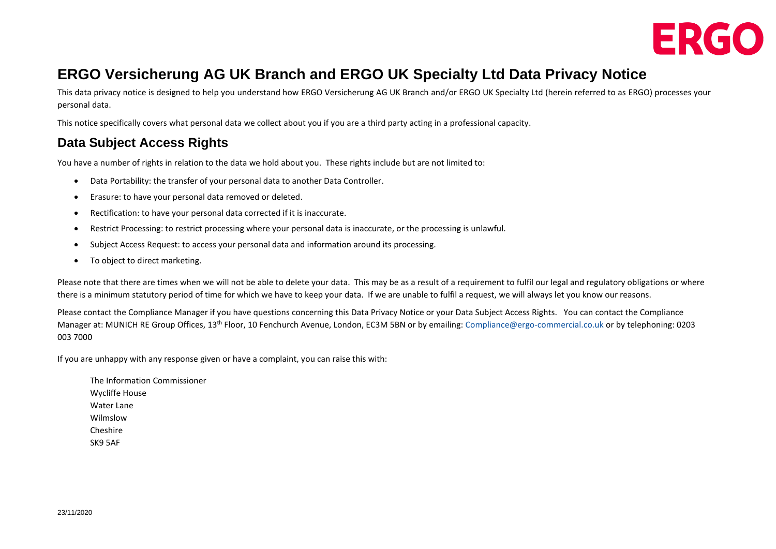

# **ERGO Versicherung AG UK Branch and ERGO UK Specialty Ltd Data Privacy Notice**

This data privacy notice is designed to help you understand how ERGO Versicherung AG UK Branch and/or ERGO UK Specialty Ltd (herein referred to as ERGO) processes your personal data.

This notice specifically covers what personal data we collect about you if you are a third party acting in a professional capacity.

## **Data Subject Access Rights**

You have a number of rights in relation to the data we hold about you. These rights include but are not limited to:

- Data Portability: the transfer of your personal data to another Data Controller.
- Erasure: to have your personal data removed or deleted.
- Rectification: to have your personal data corrected if it is inaccurate.
- Restrict Processing: to restrict processing where your personal data is inaccurate, or the processing is unlawful.
- Subject Access Request: to access your personal data and information around its processing.
- To object to direct marketing.

Please note that there are times when we will not be able to delete your data. This may be as a result of a requirement to fulfil our legal and regulatory obligations or where there is a minimum statutory period of time for which we have to keep your data. If we are unable to fulfil a request, we will always let you know our reasons.

Please contact the Compliance Manager if you have questions concerning this Data Privacy Notice or your Data Subject Access Rights. You can contact the Compliance Manager at: MUNICH RE Group Offices, 13th Floor, 10 Fenchurch Avenue, London, EC3M 5BN or by emailing: [Compliance@ergo-commercial.co.uk](mailto:Compliance@ergo-commercial.co.uk) or by telephoning: 0203 003 7000

If you are unhappy with any response given or have a complaint, you can raise this with:

The Information Commissioner Wycliffe House Water Lane Wilmslow Cheshire SK9 5AF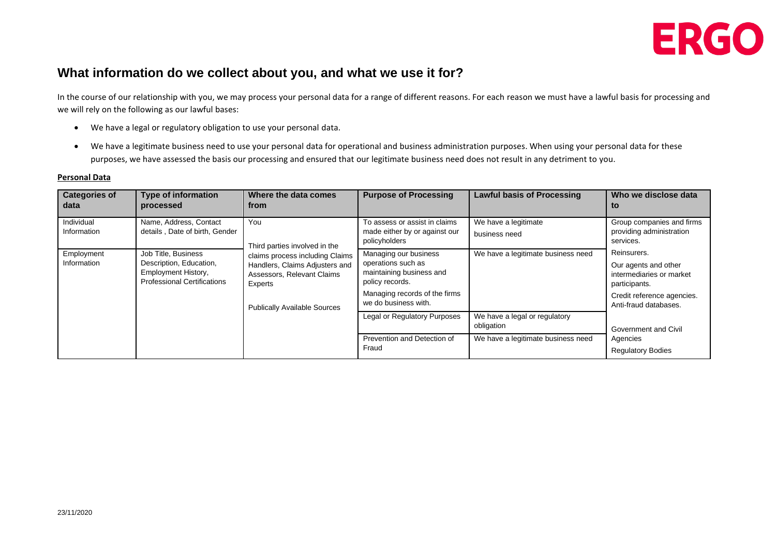

### **What information do we collect about you, and what we use it for?**

In the course of our relationship with you, we may process your personal data for a range of different reasons. For each reason we must have a lawful basis for processing and we will rely on the following as our lawful bases:

- We have a legal or regulatory obligation to use your personal data.
- We have a legitimate business need to use your personal data for operational and business administration purposes. When using your personal data for these purposes, we have assessed the basis our processing and ensured that our legitimate business need does not result in any detriment to you.

#### **Personal Data**

| <b>Categories of</b><br>data | <b>Type of information</b><br>processed                                                                     | Where the data comes<br>from                                                                                                                                                              | <b>Purpose of Processing</b>                                                                                                                        | <b>Lawful basis of Processing</b>           | Who we disclose data<br>to                                                                                                              |
|------------------------------|-------------------------------------------------------------------------------------------------------------|-------------------------------------------------------------------------------------------------------------------------------------------------------------------------------------------|-----------------------------------------------------------------------------------------------------------------------------------------------------|---------------------------------------------|-----------------------------------------------------------------------------------------------------------------------------------------|
| Individual<br>Information    | Name, Address, Contact<br>details, Date of birth, Gender                                                    | You<br>Third parties involved in the<br>claims process including Claims<br>Handlers, Claims Adjusters and<br>Assessors, Relevant Claims<br>Experts<br><b>Publically Available Sources</b> | To assess or assist in claims<br>made either by or against our<br>policyholders                                                                     | We have a legitimate<br>business need       | Group companies and firms<br>providing administration<br>services.                                                                      |
| Employment<br>Information    | Job Title, Business<br>Description, Education,<br>Employment History,<br><b>Professional Certifications</b> |                                                                                                                                                                                           | Managing our business<br>operations such as<br>maintaining business and<br>policy records.<br>Managing records of the firms<br>we do business with. | We have a legitimate business need          | Reinsurers.<br>Our agents and other<br>intermediaries or market<br>participants.<br>Credit reference agencies.<br>Anti-fraud databases. |
|                              |                                                                                                             |                                                                                                                                                                                           | Legal or Regulatory Purposes                                                                                                                        | We have a legal or regulatory<br>obligation | Government and Civil<br>Agencies<br><b>Regulatory Bodies</b>                                                                            |
|                              |                                                                                                             |                                                                                                                                                                                           | Prevention and Detection of<br>Fraud                                                                                                                | We have a legitimate business need          |                                                                                                                                         |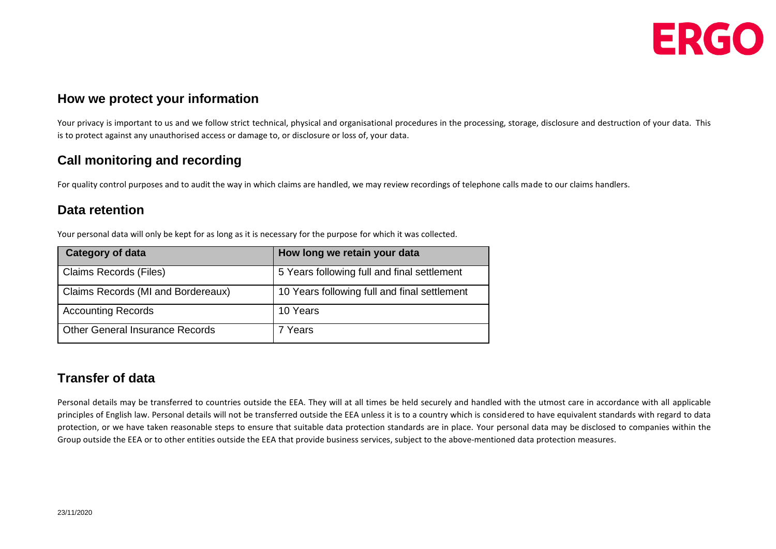

### **How we protect your information**

Your privacy is important to us and we follow strict technical, physical and organisational procedures in the processing, storage, disclosure and destruction of your data. This is to protect against any unauthorised access or damage to, or disclosure or loss of, your data.

## **Call monitoring and recording**

For quality control purposes and to audit the way in which claims are handled, we may review recordings of telephone calls made to our claims handlers.

#### **Data retention**

Your personal data will only be kept for as long as it is necessary for the purpose for which it was collected.

| <b>Category of data</b>                | How long we retain your data                 |
|----------------------------------------|----------------------------------------------|
| <b>Claims Records (Files)</b>          | 5 Years following full and final settlement  |
| Claims Records (MI and Bordereaux)     | 10 Years following full and final settlement |
| <b>Accounting Records</b>              | 10 Years                                     |
| <b>Other General Insurance Records</b> | 7 Years                                      |

# **Transfer of data**

Personal details may be transferred to countries outside the EEA. They will at all times be held securely and handled with the utmost care in accordance with all applicable principles of English law. Personal details will not be transferred outside the EEA unless it is to a country which is considered to have equivalent standards with regard to data protection, or we have taken reasonable steps to ensure that suitable data protection standards are in place. Your personal data may be disclosed to companies within the Group outside the EEA or to other entities outside the EEA that provide business services, subject to the above-mentioned data protection measures.